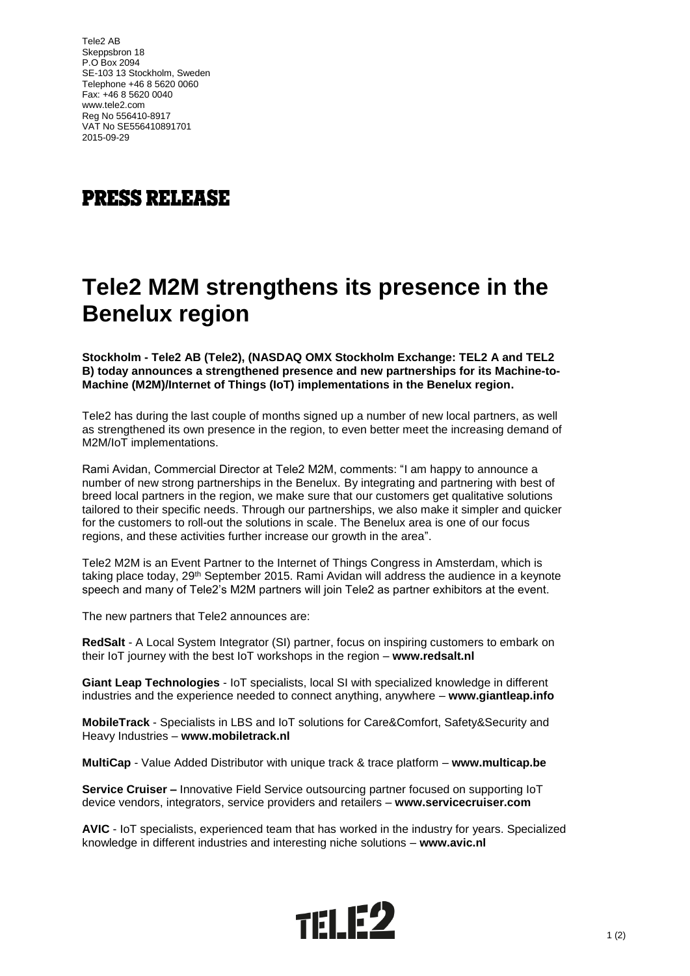Tele2 AB Skeppsbron 18 P.O Box 2094 SE-103 13 Stockholm, Sweden Telephone +46 8 5620 0060 Fax: +46 8 5620 0040 www.tele2.com Reg No 556410-8917 VAT No SE556410891701 2015-09-29

## **PRESS RELEASE**

## **Tele2 M2M strengthens its presence in the Benelux region**

**Stockholm - Tele2 AB (Tele2), (NASDAQ OMX Stockholm Exchange: TEL2 A and TEL2 B) today announces a strengthened presence and new partnerships for its Machine-to-Machine (M2M)/Internet of Things (IoT) implementations in the Benelux region.**

Tele2 has during the last couple of months signed up a number of new local partners, as well as strengthened its own presence in the region, to even better meet the increasing demand of M2M/IoT implementations.

Rami Avidan, Commercial Director at Tele2 M2M, comments: "I am happy to announce a number of new strong partnerships in the Benelux. By integrating and partnering with best of breed local partners in the region, we make sure that our customers get qualitative solutions tailored to their specific needs. Through our partnerships, we also make it simpler and quicker for the customers to roll-out the solutions in scale. The Benelux area is one of our focus regions, and these activities further increase our growth in the area".

Tele2 M2M is an Event Partner to the Internet of Things Congress in Amsterdam, which is taking place today, 29<sup>th</sup> September 2015. Rami Avidan will address the audience in a keynote speech and many of Tele2's M2M partners will join Tele2 as partner exhibitors at the event.

The new partners that Tele2 announces are:

**RedSalt** - A Local System Integrator (SI) partner, focus on inspiring customers to embark on their IoT journey with the best IoT workshops in the region – **www.redsalt.nl**

**Giant Leap Technologies** - IoT specialists, local SI with specialized knowledge in different industries and the experience needed to connect anything, anywhere – **www.giantleap.info**

**MobileTrack** - Specialists in LBS and IoT solutions for Care&Comfort, Safety&Security and Heavy Industries – **www.mobiletrack.nl**

**MultiCap** - Value Added Distributor with unique track & trace platform – **www.multicap.be**

**Service Cruiser –** Innovative Field Service outsourcing partner focused on supporting IoT device vendors, integrators, service providers and retailers – **www.servicecruiser.com**

**AVIC** - IoT specialists, experienced team that has worked in the industry for years. Specialized knowledge in different industries and interesting niche solutions – **www.avic.nl**